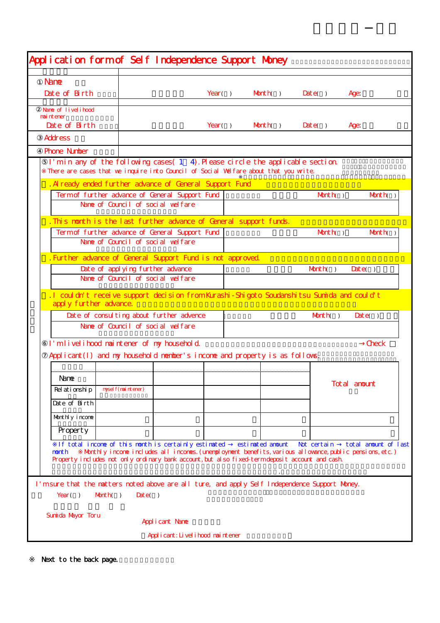| Application form of Self Independence Support Money                                                                                                                      |                                                                                                                                                                                                         |  |            |                  |                   |                      |  |
|--------------------------------------------------------------------------------------------------------------------------------------------------------------------------|---------------------------------------------------------------------------------------------------------------------------------------------------------------------------------------------------------|--|------------|------------------|-------------------|----------------------|--|
| <b>Nane</b>                                                                                                                                                              |                                                                                                                                                                                                         |  |            |                  |                   |                      |  |
| Date of Birth                                                                                                                                                            |                                                                                                                                                                                                         |  | Year $( )$ | $M\nu$           | $\textbf{Date}()$ | <b>Age</b>           |  |
|                                                                                                                                                                          |                                                                                                                                                                                                         |  |            |                  |                   |                      |  |
| Nane of livelihood<br>nai nt ener                                                                                                                                        |                                                                                                                                                                                                         |  |            |                  |                   |                      |  |
| Date of Birth                                                                                                                                                            |                                                                                                                                                                                                         |  | Year( $)$  | $M$ th $)$       | $\textbf{Date}()$ | Age:                 |  |
| <b>Address</b>                                                                                                                                                           |                                                                                                                                                                                                         |  |            |                  |                   |                      |  |
| <b>Phone Ninber</b>                                                                                                                                                      |                                                                                                                                                                                                         |  |            |                  |                   |                      |  |
| I'min any of the following cases $(1\ 4)$ . Please circle the applicable section<br>There are cases that we inquire into Council of Social Walfare about that you write. |                                                                                                                                                                                                         |  |            |                  |                   |                      |  |
| . Al ready ended further advance of General Support Fund                                                                                                                 |                                                                                                                                                                                                         |  |            |                  |                   |                      |  |
|                                                                                                                                                                          | Termof further advance of General Support Fund                                                                                                                                                          |  |            |                  | $M$ th $)$        | Month()              |  |
|                                                                                                                                                                          | Name of Council of social welfare                                                                                                                                                                       |  |            |                  |                   |                      |  |
| . This nouth is the last further advance of General support funds.                                                                                                       |                                                                                                                                                                                                         |  |            |                  |                   |                      |  |
|                                                                                                                                                                          | Termof further advance of General Support Fund                                                                                                                                                          |  |            |                  | $M\nu$            | $M$ th $)$           |  |
|                                                                                                                                                                          | Name of Council of social welfare                                                                                                                                                                       |  |            |                  |                   |                      |  |
| . Further advance of General Support Fund is not approved.                                                                                                               |                                                                                                                                                                                                         |  |            |                  |                   |                      |  |
| Date of applying further advance                                                                                                                                         |                                                                                                                                                                                                         |  |            |                  | $M\nu$ th()       | $\textbf{D}$ te()    |  |
|                                                                                                                                                                          | Name of Council of social welfare                                                                                                                                                                       |  |            |                  |                   |                      |  |
| . I couldn't receive support decision from Kurashi-Shigoto Soudanshitsu Sunnida and could t<br>apply further advance.                                                    |                                                                                                                                                                                                         |  |            |                  |                   |                      |  |
| Date of consulting about further advence                                                                                                                                 |                                                                                                                                                                                                         |  |            |                  | Muth()            | $\textbf{D}$ ate()   |  |
|                                                                                                                                                                          | Name of Council of social welfare                                                                                                                                                                       |  |            |                  |                   |                      |  |
| I'm livel i hood naintener of my household.                                                                                                                              |                                                                                                                                                                                                         |  |            |                  |                   | <b>Check</b>         |  |
| Applicant (I) and my household number's income and property is as follows.                                                                                               |                                                                                                                                                                                                         |  |            |                  |                   |                      |  |
| Nane                                                                                                                                                                     |                                                                                                                                                                                                         |  |            |                  |                   | Total anount         |  |
| Relationship                                                                                                                                                             | nysel f(maintener)                                                                                                                                                                                      |  |            |                  |                   |                      |  |
| Date of Birth                                                                                                                                                            |                                                                                                                                                                                                         |  |            |                  |                   |                      |  |
| Monthly income                                                                                                                                                           |                                                                                                                                                                                                         |  |            |                  |                   |                      |  |
| Property                                                                                                                                                                 |                                                                                                                                                                                                         |  |            |                  |                   |                      |  |
|                                                                                                                                                                          | If total income of this month is certainly estimated                                                                                                                                                    |  |            | estinated anount | Not certain       | total anount of last |  |
| nonth                                                                                                                                                                    | Monthly income includes all incomes. (unemployment benefits, various allowance, public pensions, etc.)<br>Property includes not only ordinary bank account, but also fixed termdeposit account and cash |  |            |                  |                   |                      |  |
|                                                                                                                                                                          |                                                                                                                                                                                                         |  |            |                  |                   |                      |  |
| I' msure that the natters noted above are all ture, and apply Self Independence Support Money.<br>Year $( )$<br>$M$ th()<br>Sunida Mayor Toru                            | $\textbf{Date}()$<br>Applicant Nane                                                                                                                                                                     |  |            |                  |                   |                      |  |

Next to the back page.